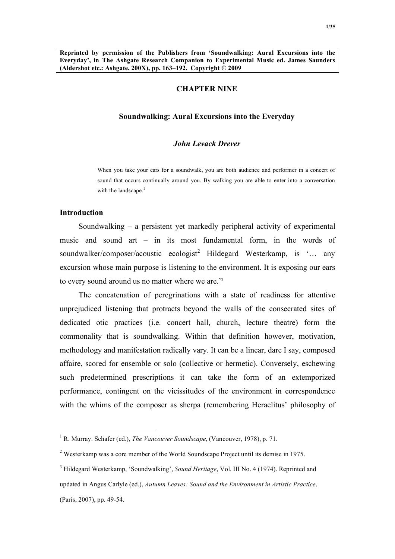## **CHAPTER NINE**

### **Soundwalking: Aural Excursions into the Everyday**

#### *John Levack Drever*

When you take your ears for a soundwalk, you are both audience and performer in a concert of sound that occurs continually around you. By walking you are able to enter into a conversation with the landscape.<sup>1</sup>

## **Introduction**

Soundwalking – a persistent yet markedly peripheral activity of experimental music and sound art – in its most fundamental form, in the words of soundwalker/composer/acoustic ecologist<sup>2</sup> Hildegard Westerkamp, is '... any excursion whose main purpose is listening to the environment. It is exposing our ears to every sound around us no matter where we are.'3

The concatenation of peregrinations with a state of readiness for attentive unprejudiced listening that protracts beyond the walls of the consecrated sites of dedicated otic practices (i.e. concert hall, church, lecture theatre) form the commonality that is soundwalking. Within that definition however, motivation, methodology and manifestation radically vary. It can be a linear, dare I say, composed affaire, scored for ensemble or solo (collective or hermetic). Conversely, eschewing such predetermined prescriptions it can take the form of an extemporized performance, contingent on the vicissitudes of the environment in correspondence with the whims of the composer as sherpa (remembering Heraclitus' philosophy of

<sup>&</sup>lt;sup>1</sup> R. Murray. Schafer (ed.), *The Vancouver Soundscape*, (Vancouver, 1978), p. 71.

<sup>2</sup> Westerkamp was a core member of the World Soundscape Project until its demise in 1975.

<sup>&</sup>lt;sup>3</sup> Hildegard Westerkamp, 'Soundwalking', *Sound Heritage*, Vol. III No. 4 (1974). Reprinted and updated in Angus Carlyle (ed.), *Autumn Leaves: Sound and the Environment in Artistic Practice*. (Paris, 2007), pp. 49-54.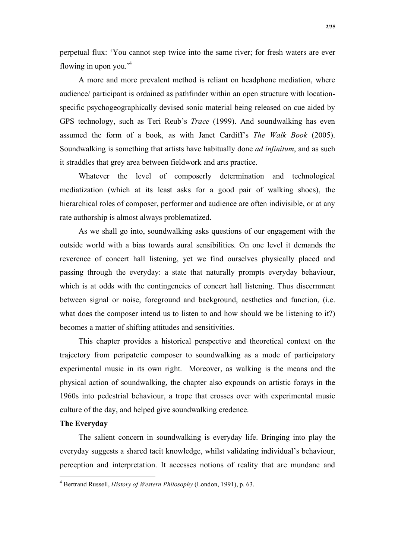perpetual flux: 'You cannot step twice into the same river; for fresh waters are ever flowing in upon you.'4

A more and more prevalent method is reliant on headphone mediation, where audience/ participant is ordained as pathfinder within an open structure with locationspecific psychogeographically devised sonic material being released on cue aided by GPS technology, such as Teri Reub's *Trace* (1999). And soundwalking has even assumed the form of a book, as with Janet Cardiff's *The Walk Book* (2005). Soundwalking is something that artists have habitually done *ad infinitum*, and as such it straddles that grey area between fieldwork and arts practice.

Whatever the level of composerly determination and technological mediatization (which at its least asks for a good pair of walking shoes), the hierarchical roles of composer, performer and audience are often indivisible, or at any rate authorship is almost always problematized.

As we shall go into, soundwalking asks questions of our engagement with the outside world with a bias towards aural sensibilities. On one level it demands the reverence of concert hall listening, yet we find ourselves physically placed and passing through the everyday: a state that naturally prompts everyday behaviour, which is at odds with the contingencies of concert hall listening. Thus discernment between signal or noise, foreground and background, aesthetics and function, (i.e. what does the composer intend us to listen to and how should we be listening to it?) becomes a matter of shifting attitudes and sensitivities.

This chapter provides a historical perspective and theoretical context on the trajectory from peripatetic composer to soundwalking as a mode of participatory experimental music in its own right. Moreover, as walking is the means and the physical action of soundwalking, the chapter also expounds on artistic forays in the 1960s into pedestrial behaviour, a trope that crosses over with experimental music culture of the day, and helped give soundwalking credence.

### **The Everyday**

The salient concern in soundwalking is everyday life. Bringing into play the everyday suggests a shared tacit knowledge, whilst validating individual's behaviour, perception and interpretation. It accesses notions of reality that are mundane and

 $\frac{1}{4}$ Bertrand Russell, *History of Western Philosophy* (London, 1991), p. 63.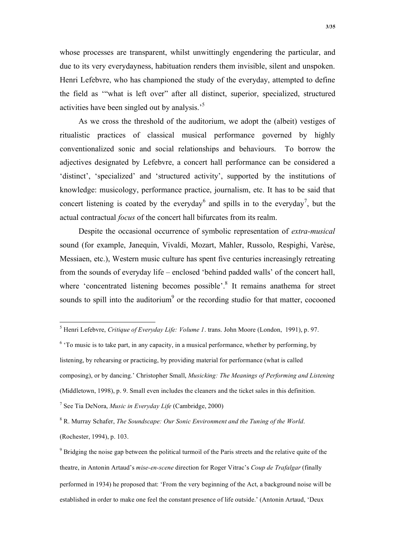whose processes are transparent, whilst unwittingly engendering the particular, and due to its very everydayness, habituation renders them invisible, silent and unspoken. Henri Lefebvre, who has championed the study of the everyday, attempted to define the field as '"what is left over" after all distinct, superior, specialized, structured activities have been singled out by analysis.'<sup>5</sup>

As we cross the threshold of the auditorium, we adopt the (albeit) vestiges of ritualistic practices of classical musical performance governed by highly conventionalized sonic and social relationships and behaviours. To borrow the adjectives designated by Lefebvre, a concert hall performance can be considered a 'distinct', 'specialized' and 'structured activity', supported by the institutions of knowledge: musicology, performance practice, journalism, etc. It has to be said that concert listening is coated by the everyday<sup>6</sup> and spills in to the everyday<sup>7</sup>, but the actual contractual *focus* of the concert hall bifurcates from its realm.

Despite the occasional occurrence of symbolic representation of *extra-musical* sound (for example, Janequin, Vivaldi, Mozart, Mahler, Russolo, Respighi, Varèse, Messiaen, etc.), Western music culture has spent five centuries increasingly retreating from the sounds of everyday life – enclosed 'behind padded walls' of the concert hall, where 'concentrated listening becomes possible'.<sup>8</sup> It remains anathema for street sounds to spill into the auditorium<sup>9</sup> or the recording studio for that matter, cocooned

8 R. Murray Schafer, *The Soundscape: Our Sonic Environment and the Tuning of the World*. (Rochester, 1994), p. 103.

 <sup>5</sup> Henri Lefebvre, *Critique of Everyday Life: Volume 1*. trans. John Moore (London, 1991), p. 97.

 $6$  'To music is to take part, in any capacity, in a musical performance, whether by performing, by listening, by rehearsing or practicing, by providing material for performance (what is called composing), or by dancing.' Christopher Small, *Musicking: The Meanings of Performing and Listening* (Middletown, 1998), p. 9. Small even includes the cleaners and the ticket sales in this definition. 7 See Tia DeNora, *Music in Everyday Life* (Cambridge, 2000)

 $9^9$  Bridging the noise gap between the political turmoil of the Paris streets and the relative quite of the theatre, in Antonin Artaud's *mise-en-scene* direction for Roger Vitrac's *Coup de Trafalgar* (finally performed in 1934) he proposed that: 'From the very beginning of the Act, a background noise will be established in order to make one feel the constant presence of life outside.' (Antonin Artaud, 'Deux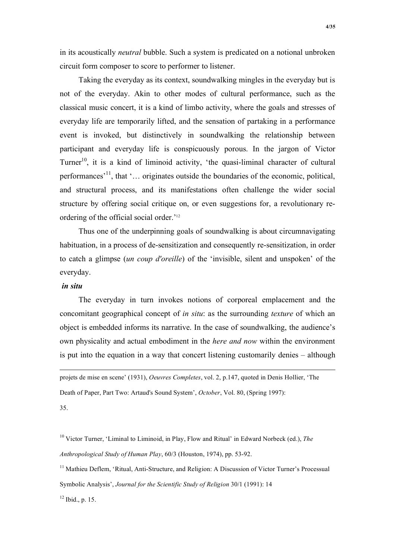in its acoustically *neutral* bubble. Such a system is predicated on a notional unbroken circuit form composer to score to performer to listener.

Taking the everyday as its context, soundwalking mingles in the everyday but is not of the everyday. Akin to other modes of cultural performance, such as the classical music concert, it is a kind of limbo activity, where the goals and stresses of everyday life are temporarily lifted, and the sensation of partaking in a performance event is invoked, but distinctively in soundwalking the relationship between participant and everyday life is conspicuously porous. In the jargon of Victor Turner<sup>10</sup>, it is a kind of liminoid activity, 'the quasi-liminal character of cultural performances'11, that '… originates outside the boundaries of the economic, political, and structural process, and its manifestations often challenge the wider social structure by offering social critique on, or even suggestions for, a revolutionary reordering of the official social order.'12

Thus one of the underpinning goals of soundwalking is about circumnavigating habituation, in a process of de-sensitization and consequently re-sensitization, in order to catch a glimpse (*un coup d'oreille*) of the 'invisible, silent and unspoken' of the everyday.

## *in situ*

The everyday in turn invokes notions of corporeal emplacement and the concomitant geographical concept of *in situ*: as the surrounding *texture* of which an object is embedded informs its narrative. In the case of soundwalking, the audience's own physicality and actual embodiment in the *here and now* within the environment is put into the equation in a way that concert listening customarily denies – although

 projets de mise en scene' (1931), *Oeuvres Completes*, vol. 2, p.147, quoted in Denis Hollier, 'The Death of Paper, Part Two: Artaud's Sound System', *October*, Vol. 80, (Spring 1997): 35.

10 Victor Turner, 'Liminal to Liminoid, in Play, Flow and Ritual' in Edward Norbeck (ed.), *The Anthropological Study of Human Play*, 60/3 (Houston, 1974), pp. 53-92.

<sup>11</sup> Mathieu Deflem, 'Ritual, Anti-Structure, and Religion: A Discussion of Victor Turner's Processual Symbolic Analysis', *Journal for the Scientific Study of Religion* 30/1 (1991): 14

 $12$  Ibid., p. 15.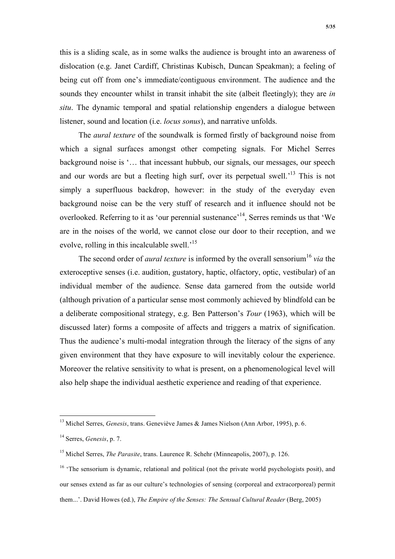this is a sliding scale, as in some walks the audience is brought into an awareness of dislocation (e.g. Janet Cardiff, Christinas Kubisch, Duncan Speakman); a feeling of being cut off from one's immediate/contiguous environment. The audience and the sounds they encounter whilst in transit inhabit the site (albeit fleetingly); they are *in situ*. The dynamic temporal and spatial relationship engenders a dialogue between listener, sound and location (i.e. *locus sonus*), and narrative unfolds.

The *aural texture* of the soundwalk is formed firstly of background noise from which a signal surfaces amongst other competing signals. For Michel Serres background noise is '… that incessant hubbub, our signals, our messages, our speech and our words are but a fleeting high surf, over its perpetual swell.<sup>'13</sup> This is not simply a superfluous backdrop, however: in the study of the everyday even background noise can be the very stuff of research and it influence should not be overlooked. Referring to it as 'our perennial sustenance'<sup>14</sup>. Serres reminds us that 'We are in the noises of the world, we cannot close our door to their reception, and we evolve, rolling in this incalculable swell.'15

The second order of *aural texture* is informed by the overall sensorium<sup>16</sup> *via* the exteroceptive senses (i.e. audition, gustatory, haptic, olfactory, optic, vestibular) of an individual member of the audience. Sense data garnered from the outside world (although privation of a particular sense most commonly achieved by blindfold can be a deliberate compositional strategy, e.g. Ben Patterson's *Tour* (1963), which will be discussed later) forms a composite of affects and triggers a matrix of signification. Thus the audience's multi-modal integration through the literacy of the signs of any given environment that they have exposure to will inevitably colour the experience. Moreover the relative sensitivity to what is present, on a phenomenological level will also help shape the individual aesthetic experience and reading of that experience.

<sup>&</sup>lt;sup>13</sup> Michel Serres, *Genesis*, trans. Geneviève James & James Nielson (Ann Arbor, 1995), p. 6.

<sup>14</sup> Serres, *Genesis*, p. 7.

<sup>15</sup> Michel Serres, *The Parasite*, trans. Laurence R. Schehr (Minneapolis, 2007), p. 126.

<sup>&</sup>lt;sup>16</sup> 'The sensorium is dynamic, relational and political (not the private world psychologists posit), and our senses extend as far as our culture's technologies of sensing (corporeal and extracorporeal) permit them...'. David Howes (ed.), *The Empire of the Senses: The Sensual Cultural Reader* (Berg, 2005)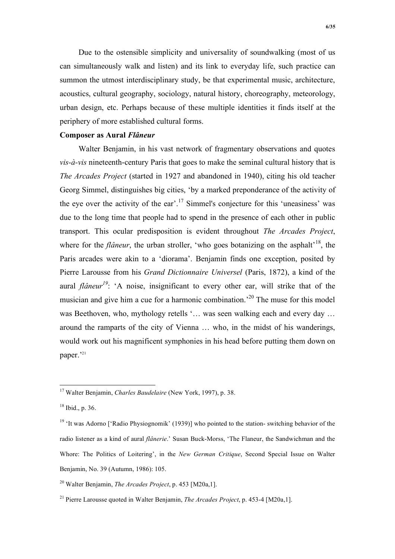Due to the ostensible simplicity and universality of soundwalking (most of us can simultaneously walk and listen) and its link to everyday life, such practice can summon the utmost interdisciplinary study, be that experimental music, architecture, acoustics, cultural geography, sociology, natural history, choreography, meteorology, urban design, etc. Perhaps because of these multiple identities it finds itself at the periphery of more established cultural forms.

### **Composer as Aural** *Flâneur*

Walter Benjamin, in his vast network of fragmentary observations and quotes *vis-à-vis* nineteenth-century Paris that goes to make the seminal cultural history that is *The Arcades Project* (started in 1927 and abandoned in 1940), citing his old teacher Georg Simmel, distinguishes big cities, 'by a marked preponderance of the activity of the eye over the activity of the ear'.<sup>17</sup> Simmel's conjecture for this 'uneasiness' was due to the long time that people had to spend in the presence of each other in public transport. This ocular predisposition is evident throughout *The Arcades Project*, where for the *flâneur*, the urban stroller, 'who goes botanizing on the asphalt<sup> $18$ </sup>, the Paris arcades were akin to a 'diorama'. Benjamin finds one exception, posited by Pierre Larousse from his *Grand Dictionnaire Universel* (Paris, 1872), a kind of the aural *flâneur*<sup>19</sup>: 'A noise, insignificant to every other ear, will strike that of the musician and give him a cue for a harmonic combination.<sup>20</sup> The muse for this model was Beethoven, who, mythology retells '... was seen walking each and every day ... around the ramparts of the city of Vienna … who, in the midst of his wanderings, would work out his magnificent symphonies in his head before putting them down on paper.'21

 <sup>17</sup> Walter Benjamin, *Charles Baudelaire* (New York, 1997), p. 38.

 $18$  Ibid., p. 36.

<sup>&</sup>lt;sup>19</sup> 'It was Adorno ['Radio Physiognomik' (1939)] who pointed to the station- switching behavior of the radio listener as a kind of aural *flânerie*.' Susan Buck-Morss, 'The Flaneur, the Sandwichman and the Whore: The Politics of Loitering', in the *New German Critique*, Second Special Issue on Walter Benjamin, No. 39 (Autumn, 1986): 105.

<sup>20</sup> Walter Benjamin, *The Arcades Project*, p. 453 [M20a,1].

<sup>21</sup> Pierre Larousse quoted in Walter Benjamin, *The Arcades Project*, p. 453-4 [M20a,1].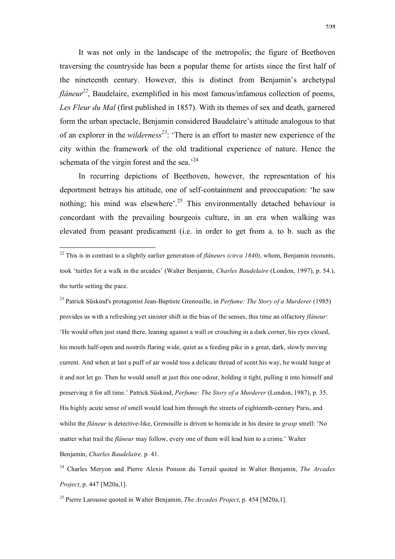It was not only in the landscape of the metropolis; the figure of Beethoven traversing the countryside has been a popular theme for artists since the first half of the nineteenth century. However, this is distinct from Benjamin's archetypal *flâneur*<sup>22</sup>, Baudelaire, exemplified in his most famous/infamous collection of poems, *Les Fleur du Mal* (first published in 1857). With its themes of sex and death, garnered form the urban spectacle, Benjamin considered Baudelaire's attitude analogous to that of an explorer in the *wilderness<sup>23</sup>*: 'There is an effort to master new experience of the city within the framework of the old traditional experience of nature. Hence the schemata of the virgin forest and the sea.<sup> $24$ </sup>

In recurring depictions of Beethoven, however, the representation of his deportment betrays his attitude, one of self-containment and preoccupation: 'he saw nothing; his mind was elsewhere'.<sup>25</sup> This environmentally detached behaviour is concordant with the prevailing bourgeois culture, in an era when walking was elevated from peasant predicament (i.e. in order to get from a. to b. such as the

<sup>23</sup> Patrick Süskind's protagonist Jean-Baptiste Grenouille, in *Perfume: The Story of a Murderer* (1985) provides us with a refreshing yet sinister shift in the bias of the senses, this time an olfactory *flâneur*: 'He would often just stand there, leaning against a wall or crouching in a dark corner, his eyes closed, his mouth half-open and nostrils flaring wide, quiet as a feeding pike in a great, dark, slowly moving current. And when at last a puff of air would toss a delicate thread of scent his way, he would lunge at it and not let go. Then he would smell at just this one odour, holding it tight, pulling it into himself and preserving it for all time.' Patrick Süskind, *Perfume: The Story of a Murderer* (London, 1987), p. 35. His highly acute sense of smell would lead him through the streets of eighteenth-century Paris, and whilst the *flâneur* is detective-like, Grenouille is driven to homicide in his desire to *grasp* smell: 'No matter what trail the *flâneur* may follow, every one of them will lead him to a crime.' Walter Benjamin, *Charles Baudelaire,* p. 41.

24 Charles Meryon and Pierre Alexis Ponson du Terrail quoted in Walter Benjamin, *The Arcades Project*, p. 447 [M20a,1].

25 Pierre Larousse quoted in Walter Benjamin, *The Arcades Project*, p. 454 [M20a,1].

<sup>&</sup>lt;sup>22</sup> This is in contrast to a slightly earlier generation of *flâneurs (circa 1840)*, whom, Benjamin recounts, took 'turtles for a walk in the arcades' (Walter Benjamin, *Charles Baudelaire* (London, 1997), p. 54.), the turtle setting the pace.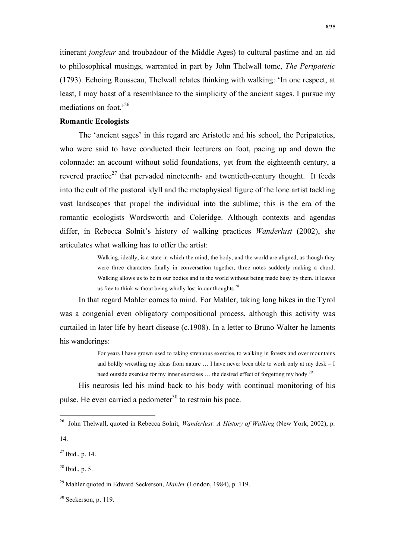itinerant *jongleur* and troubadour of the Middle Ages) to cultural pastime and an aid to philosophical musings, warranted in part by John Thelwall tome, *The Peripatetic* (1793). Echoing Rousseau, Thelwall relates thinking with walking: 'In one respect, at least, I may boast of a resemblance to the simplicity of the ancient sages. I pursue my mediations on foot.'26

## **Romantic Ecologists**

The 'ancient sages' in this regard are Aristotle and his school, the Peripatetics, who were said to have conducted their lecturers on foot, pacing up and down the colonnade: an account without solid foundations, yet from the eighteenth century, a revered practice<sup>27</sup> that pervaded nineteenth- and twentieth-century thought. It feeds into the cult of the pastoral idyll and the metaphysical figure of the lone artist tackling vast landscapes that propel the individual into the sublime; this is the era of the romantic ecologists Wordsworth and Coleridge. Although contexts and agendas differ, in Rebecca Solnit's history of walking practices *Wanderlust* (2002), she articulates what walking has to offer the artist:

> Walking, ideally, is a state in which the mind, the body, and the world are aligned, as though they were three characters finally in conversation together, three notes suddenly making a chord. Walking allows us to be in our bodies and in the world without being made busy by them. It leaves us free to think without being wholly lost in our thoughts.  $2<sup>8</sup>$

In that regard Mahler comes to mind. For Mahler, taking long hikes in the Tyrol was a congenial even obligatory compositional process, although this activity was curtailed in later life by heart disease (c.1908). In a letter to Bruno Walter he laments his wanderings:

> For years I have grown used to taking strenuous exercise, to walking in forests and over mountains and boldly wrestling my ideas from nature … I have never been able to work only at my desk – I need outside exercise for my inner exercises ... the desired effect of forgetting my body.<sup>29</sup>

His neurosis led his mind back to his body with continual monitoring of his pulse. He even carried a pedometer<sup>30</sup> to restrain his pace.

 <sup>26</sup> John Thelwall, quoted in Rebecca Solnit, *Wanderlust: A History of Walking* (New York, 2002), p.

<sup>14.</sup>

 $27$  Ibid., p. 14.

 $^{28}$  Ibid., p. 5.

<sup>29</sup> Mahler quoted in Edward Seckerson, *Mahler* (London, 1984), p. 119.

 $30$  Seckerson, p. 119.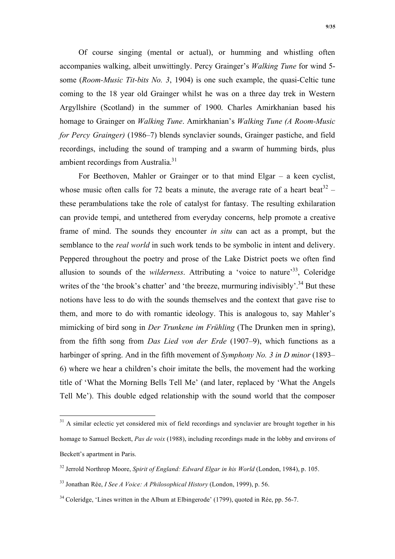Of course singing (mental or actual), or humming and whistling often accompanies walking, albeit unwittingly. Percy Grainger's *Walking Tune* for wind 5 some (*Room-Music Tit-bits No. 3*, 1904) is one such example, the quasi-Celtic tune coming to the 18 year old Grainger whilst he was on a three day trek in Western Argyllshire (Scotland) in the summer of 1900. Charles Amirkhanian based his homage to Grainger on *Walking Tune*. Amirkhanian's *Walking Tune (A Room-Music for Percy Grainger)* (1986–7) blends synclavier sounds, Grainger pastiche, and field recordings, including the sound of tramping and a swarm of humming birds, plus ambient recordings from Australia.<sup>31</sup>

For Beethoven, Mahler or Grainger or to that mind Elgar – a keen cyclist, whose music often calls for 72 beats a minute, the average rate of a heart beat<sup>32</sup> – these perambulations take the role of catalyst for fantasy. The resulting exhilaration can provide tempi, and untethered from everyday concerns, help promote a creative frame of mind. The sounds they encounter *in situ* can act as a prompt, but the semblance to the *real world* in such work tends to be symbolic in intent and delivery. Peppered throughout the poetry and prose of the Lake District poets we often find allusion to sounds of the *wilderness*. Attributing a 'voice to nature'<sup>33</sup>, Coleridge writes of the 'the brook's chatter' and 'the breeze, murmuring indivisibly'.<sup>34</sup> But these notions have less to do with the sounds themselves and the context that gave rise to them, and more to do with romantic ideology. This is analogous to, say Mahler's mimicking of bird song in *Der Trunkene im Frühling* (The Drunken men in spring), from the fifth song from *Das Lied von der Erde* (1907–9), which functions as a harbinger of spring. And in the fifth movement of *Symphony No. 3 in D minor* (1893– 6) where we hear a children's choir imitate the bells, the movement had the working title of 'What the Morning Bells Tell Me' (and later, replaced by 'What the Angels Tell Me'). This double edged relationship with the sound world that the composer

<sup>&</sup>lt;sup>31</sup> A similar eclectic yet considered mix of field recordings and synclavier are brought together in his homage to Samuel Beckett, *Pas de voix* (1988), including recordings made in the lobby and environs of Beckett's apartment in Paris.

<sup>32</sup> Jerrold Northrop Moore, *Spirit of England: Edward Elgar in his World* (London, 1984), p. 105.

<sup>33</sup> Jonathan Rée, *I See A Voice: A Philosophical History* (London, 1999), p. 56.

 $34$  Coleridge, 'Lines written in the Album at Elbingerode' (1799), quoted in Rée, pp. 56-7.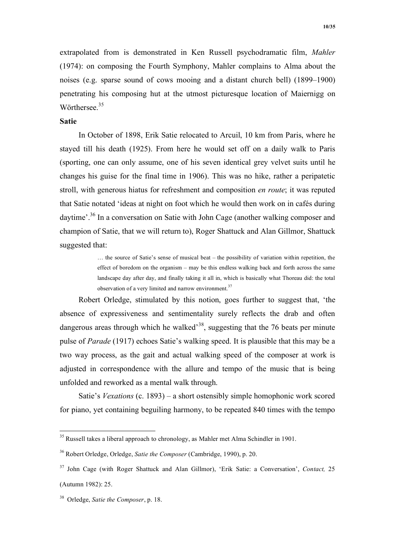extrapolated from is demonstrated in Ken Russell psychodramatic film, *Mahler* (1974): on composing the Fourth Symphony, Mahler complains to Alma about the noises (e.g. sparse sound of cows mooing and a distant church bell) (1899–1900) penetrating his composing hut at the utmost picturesque location of Maiernigg on Wörthersee.<sup>35</sup>

### **Satie**

In October of 1898, Erik Satie relocated to Arcuil, 10 km from Paris, where he stayed till his death (1925). From here he would set off on a daily walk to Paris (sporting, one can only assume, one of his seven identical grey velvet suits until he changes his guise for the final time in 1906). This was no hike, rather a peripatetic stroll, with generous hiatus for refreshment and composition *en route*; it was reputed that Satie notated 'ideas at night on foot which he would then work on in cafés during daytime'.36 In a conversation on Satie with John Cage (another walking composer and champion of Satie, that we will return to), Roger Shattuck and Alan Gillmor, Shattuck suggested that:

> … the source of Satie's sense of musical beat – the possibility of variation within repetition, the effect of boredom on the organism – may be this endless walking back and forth across the same landscape day after day, and finally taking it all in, which is basically what Thoreau did: the total observation of a very limited and narrow environment.<sup>37</sup>

Robert Orledge, stimulated by this notion, goes further to suggest that, 'the absence of expressiveness and sentimentality surely reflects the drab and often dangerous areas through which he walked<sup>38</sup>, suggesting that the 76 beats per minute pulse of *Parade* (1917) echoes Satie's walking speed. It is plausible that this may be a two way process, as the gait and actual walking speed of the composer at work is adjusted in correspondence with the allure and tempo of the music that is being unfolded and reworked as a mental walk through.

Satie's *Vexations* (c. 1893) – a short ostensibly simple homophonic work scored for piano, yet containing beguiling harmony, to be repeated 840 times with the tempo

<sup>&</sup>lt;sup>35</sup> Russell takes a liberal approach to chronology, as Mahler met Alma Schindler in 1901.

<sup>36</sup> Robert Orledge, Orledge, *Satie the Composer* (Cambridge, 1990), p. 20.

<sup>37</sup> John Cage (with Roger Shattuck and Alan Gillmor), 'Erik Satie: a Conversation', *Contact,* 25 (Autumn 1982): 25.

<sup>38</sup> Orledge, *Satie the Composer*, p. 18.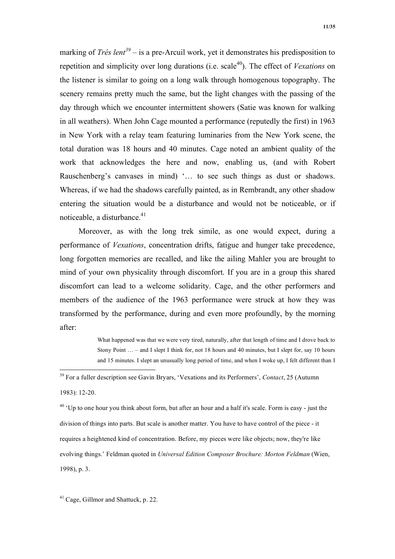marking of *Trés lent<sup>39</sup>* – is a pre-Arcuil work, yet it demonstrates his predisposition to repetition and simplicity over long durations (i.e. scale<sup>40</sup>). The effect of *Vexations* on the listener is similar to going on a long walk through homogenous topography. The scenery remains pretty much the same, but the light changes with the passing of the day through which we encounter intermittent showers (Satie was known for walking in all weathers). When John Cage mounted a performance (reputedly the first) in 1963 in New York with a relay team featuring luminaries from the New York scene, the total duration was 18 hours and 40 minutes. Cage noted an ambient quality of the work that acknowledges the here and now, enabling us, (and with Robert Rauschenberg's canvases in mind) '… to see such things as dust or shadows. Whereas, if we had the shadows carefully painted, as in Rembrandt, any other shadow entering the situation would be a disturbance and would not be noticeable, or if noticeable, a disturbance. $41$ 

Moreover, as with the long trek simile, as one would expect, during a performance of *Vexations*, concentration drifts, fatigue and hunger take precedence, long forgotten memories are recalled, and like the ailing Mahler you are brought to mind of your own physicality through discomfort. If you are in a group this shared discomfort can lead to a welcome solidarity. Cage, and the other performers and members of the audience of the 1963 performance were struck at how they was transformed by the performance, during and even more profoundly, by the morning after:

> What happened was that we were very tired, naturally, after that length of time and I drove back to Stony Point … – and I slept I think for, not 18 hours and 40 minutes, but I slept for, say 10 hours and 15 minutes. I slept an unusually long period of time, and when I woke up, I felt different than I

 $40$  'Up to one hour you think about form, but after an hour and a half it's scale. Form is easy - just the division of things into parts. But scale is another matter. You have to have control of the piece - it requires a heightened kind of concentration. Before, my pieces were like objects; now, they're like evolving things.' Feldman quoted in *Universal Edition Composer Brochure: Morton Feldman* (Wien, 1998), p. 3.

<sup>41</sup> Cage, Gillmor and Shattuck, p. 22.

 <sup>39</sup> For a fuller description see Gavin Bryars, 'Vexations and its Performers', *Contact*, 25 (Autumn 1983): 12-20.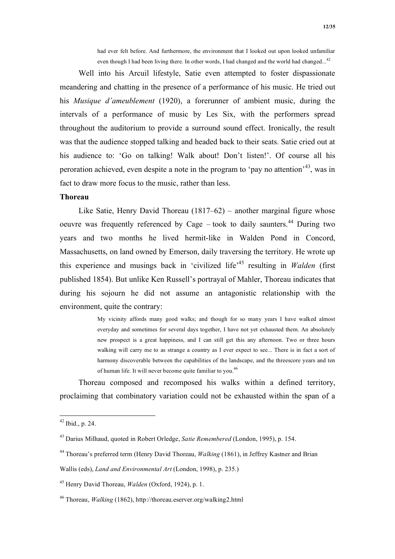had ever felt before. And furthermore, the environment that I looked out upon looked unfamiliar even though I had been living there. In other words, I had changed and the world had changed...<sup>42</sup>

Well into his Arcuil lifestyle, Satie even attempted to foster dispassionate meandering and chatting in the presence of a performance of his music. He tried out his *Musique d'ameublement* (1920), a forerunner of ambient music, during the intervals of a performance of music by Les Six, with the performers spread throughout the auditorium to provide a surround sound effect. Ironically, the result was that the audience stopped talking and headed back to their seats. Satie cried out at his audience to: 'Go on talking! Walk about! Don't listen!'. Of course all his peroration achieved, even despite a note in the program to 'pay no attention'43, was in fact to draw more focus to the music, rather than less.

## **Thoreau**

Like Satie, Henry David Thoreau (1817–62) – another marginal figure whose oeuvre was frequently referenced by Cage – took to daily saunters.<sup>44</sup> During two years and two months he lived hermit-like in Walden Pond in Concord, Massachusetts, on land owned by Emerson, daily traversing the territory. He wrote up this experience and musings back in 'civilized life'45 resulting in *Walden* (first published 1854). But unlike Ken Russell's portrayal of Mahler, Thoreau indicates that during his sojourn he did not assume an antagonistic relationship with the environment, quite the contrary:

> My vicinity affords many good walks; and though for so many years I have walked almost everyday and sometimes for several days together, I have not yet exhausted them. An absolutely new prospect is a great happiness, and I can still get this any afternoon. Two or three hours walking will carry me to as strange a country as I ever expect to see... There is in fact a sort of harmony discoverable between the capabilities of the landscape, and the threescore years and ten of human life. It will never become quite familiar to you.<sup>46</sup>

Thoreau composed and recomposed his walks within a defined territory, proclaiming that combinatory variation could not be exhausted within the span of a

 <sup>42</sup> Ibid., p. 24.

<sup>43</sup> Darius Milhaud, quoted in Robert Orledge, *Satie Remembered* (London, 1995), p. 154.

<sup>44</sup> Thoreau's preferred term (Henry David Thoreau, *Walking* (1861), in Jeffrey Kastner and Brian

Wallis (eds), *Land and Environmental Art* (London, 1998), p. 235.)

<sup>45</sup> Henry David Thoreau, *Walden* (Oxford, 1924), p. 1.

<sup>&</sup>lt;sup>46</sup> Thoreau, *Walking* (1862), http://thoreau.eserver.org/walking2.html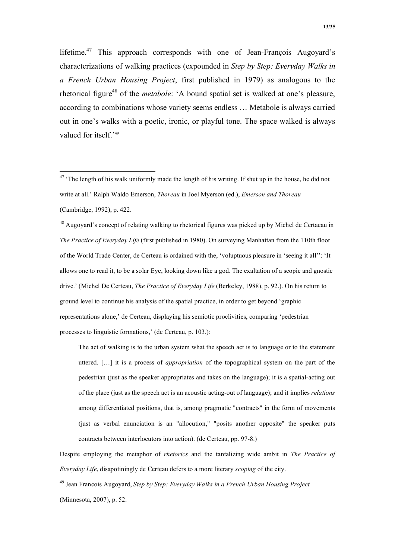lifetime.<sup>47</sup> This approach corresponds with one of Jean-François Augoyard's characterizations of walking practices (expounded in *Step by Step: Everyday Walks in a French Urban Housing Project*, first published in 1979) as analogous to the rhetorical figure<sup>48</sup> of the *metabole*: 'A bound spatial set is walked at one's pleasure, according to combinations whose variety seems endless … Metabole is always carried out in one's walks with a poetic, ironic, or playful tone. The space walked is always valued for itself.<sup>'49</sup>

<sup>48</sup> Augovard's concept of relating walking to rhetorical figures was picked up by Michel de Certaeau in *The Practice of Everyday Life* (first published in 1980). On surveying Manhattan from the 110th floor of the World Trade Center, de Certeau is ordained with the, 'voluptuous pleasure in 'seeing it all'': 'It allows one to read it, to be a solar Eye, looking down like a god. The exaltation of a scopic and gnostic drive.' (Michel De Certeau, *The Practice of Everyday Life* (Berkeley, 1988), p. 92.). On his return to ground level to continue his analysis of the spatial practice, in order to get beyond 'graphic representations alone,' de Certeau, displaying his semiotic proclivities, comparing 'pedestrian processes to linguistic formations,' (de Certeau, p. 103.):

The act of walking is to the urban system what the speech act is to language or to the statement uttered. […] it is a process of *appropriation* of the topographical system on the part of the pedestrian (just as the speaker appropriates and takes on the language); it is a spatial-acting out of the place (just as the speech act is an acoustic acting-out of language); and it implies *relations* among differentiated positions, that is, among pragmatic "contracts" in the form of movements (just as verbal enunciation is an "allocution," "posits another opposite" the speaker puts contracts between interlocutors into action). (de Certeau, pp. 97-8.)

Despite employing the metaphor of *rhetorics* and the tantalizing wide ambit in *The Practice of Everyday Life*, disapotiningly de Certeau defers to a more literary *scoping* of the city.

49 Jean Francois Augoyard, *Step by Step: Everyday Walks in a French Urban Housing Project* (Minnesota, 2007), p. 52.

 $47$  'The length of his walk uniformly made the length of his writing. If shut up in the house, he did not write at all.' Ralph Waldo Emerson, *Thoreau* in Joel Myerson (ed.), *Emerson and Thoreau* (Cambridge, 1992), p. 422.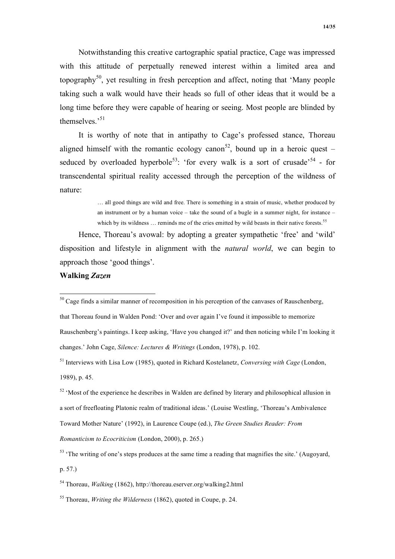Notwithstanding this creative cartographic spatial practice, Cage was impressed with this attitude of perpetually renewed interest within a limited area and topography<sup>50</sup>, yet resulting in fresh perception and affect, noting that 'Many people taking such a walk would have their heads so full of other ideas that it would be a long time before they were capable of hearing or seeing. Most people are blinded by themselves.'<sup>51</sup>

It is worthy of note that in antipathy to Cage's professed stance, Thoreau aligned himself with the romantic ecology canon<sup>52</sup>, bound up in a heroic quest – seduced by overloaded hyperbole<sup>53</sup>: 'for every walk is a sort of crusade'<sup>54</sup> - for transcendental spiritual reality accessed through the perception of the wildness of nature:

> … all good things are wild and free. There is something in a strain of music, whether produced by an instrument or by a human voice – take the sound of a bugle in a summer night, for instance – which by its wildness  $\ldots$  reminds me of the cries emitted by wild beasts in their native forests.<sup>55</sup>

Hence, Thoreau's avowal: by adopting a greater sympathetic 'free' and 'wild' disposition and lifestyle in alignment with the *natural world*, we can begin to approach those 'good things'.

### **Walking** *Zazen*

that Thoreau found in Walden Pond: 'Over and over again I've found it impossible to memorize Rauschenberg's paintings. I keep asking, 'Have you changed it?' and then noticing while I'm looking it changes.' John Cage, *Silence: Lectures & Writings* (London, 1978), p. 102.

*Romanticism to Ecocriticism* (London, 2000), p. 265.)

p. 57.)

 $50$  Cage finds a similar manner of recomposition in his perception of the canvases of Rauschenberg,

<sup>51</sup> Interviews with Lisa Low (1985), quoted in Richard Kostelanetz, *Conversing with Cage* (London, 1989), p. 45.

 $52$  'Most of the experience he describes in Walden are defined by literary and philosophical allusion in a sort of freefloating Platonic realm of traditional ideas.' (Louise Westling, 'Thoreau's Ambivalence Toward Mother Nature' (1992), in Laurence Coupe (ed.), *The Green Studies Reader: From* 

<sup>&</sup>lt;sup>53</sup> 'The writing of one's steps produces at the same time a reading that magnifies the site.' (Augoyard,

<sup>54</sup> Thoreau, *Walking* (1862), http://thoreau.eserver.org/walking2.html

<sup>55</sup> Thoreau, *Writing the Wilderness* (1862), quoted in Coupe, p. 24.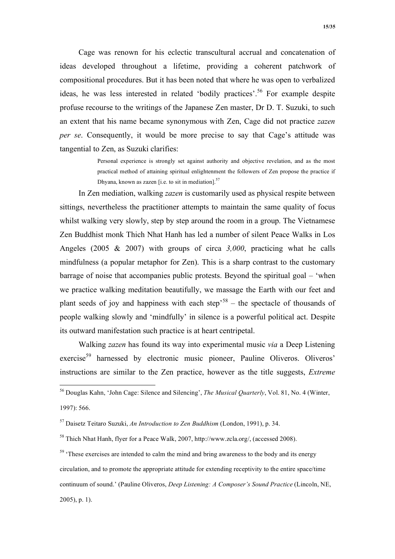Cage was renown for his eclectic transcultural accrual and concatenation of ideas developed throughout a lifetime, providing a coherent patchwork of compositional procedures. But it has been noted that where he was open to verbalized ideas, he was less interested in related 'bodily practices'.<sup>56</sup> For example despite profuse recourse to the writings of the Japanese Zen master, Dr D. T. Suzuki, to such an extent that his name became synonymous with Zen, Cage did not practice *zazen per se*. Consequently, it would be more precise to say that Cage's attitude was tangential to Zen, as Suzuki clarifies:

> Personal experience is strongly set against authority and objective revelation, and as the most practical method of attaining spiritual enlightenment the followers of Zen propose the practice if Dhyana, known as zazen [i.e. to sit in mediation]. $57$

In Zen mediation, walking *zazen* is customarily used as physical respite between sittings, nevertheless the practitioner attempts to maintain the same quality of focus whilst walking very slowly, step by step around the room in a group. The Vietnamese Zen Buddhist monk Thich Nhat Hanh has led a number of silent Peace Walks in Los Angeles (2005 & 2007) with groups of circa *3,000*, practicing what he calls mindfulness (a popular metaphor for Zen). This is a sharp contrast to the customary barrage of noise that accompanies public protests. Beyond the spiritual goal – 'when we practice walking meditation beautifully, we massage the Earth with our feet and plant seeds of joy and happiness with each step<sup>38</sup> – the spectacle of thousands of people walking slowly and 'mindfully' in silence is a powerful political act. Despite its outward manifestation such practice is at heart centripetal.

Walking *zazen* has found its way into experimental music *via* a Deep Listening exercise<sup>59</sup> harnessed by electronic music pioneer, Pauline Oliveros. Oliveros' instructions are similar to the Zen practice, however as the title suggests, *Extreme* 

 <sup>56</sup> Douglas Kahn, 'John Cage: Silence and Silencing', *The Musical Quarterly*, Vol. 81, No. 4 (Winter, 1997): 566.

<sup>57</sup> Daisetz Teitaro Suzuki, *An Introduction to Zen Buddhism* (London, 1991), p. 34.

<sup>58</sup> Thich Nhat Hanh, flyer for a Peace Walk, 2007, http://www.zcla.org/, (accessed 2008).

 $59$  'These exercises are intended to calm the mind and bring awareness to the body and its energy circulation, and to promote the appropriate attitude for extending receptivity to the entire space/time continuum of sound.' (Pauline Oliveros, *Deep Listening: A Composer's Sound Practice* (Lincoln, NE, 2005), p. 1).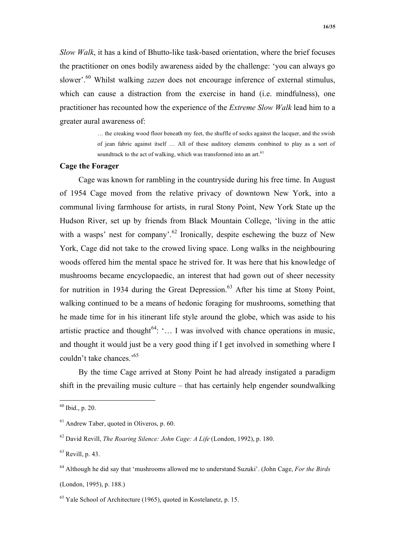*Slow Walk*, it has a kind of Bhutto-like task-based orientation, where the brief focuses the practitioner on ones bodily awareness aided by the challenge: 'you can always go slower'.<sup>60</sup> Whilst walking *zazen* does not encourage inference of external stimulus, which can cause a distraction from the exercise in hand (i.e. mindfulness), one practitioner has recounted how the experience of the *Extreme Slow Walk* lead him to a greater aural awareness of:

> … the creaking wood floor beneath my feet, the shuffle of socks against the lacquer, and the swish of jean fabric against itself … All of these auditory elements combined to play as a sort of soundtrack to the act of walking, which was transformed into an art.<sup>61</sup>

## **Cage the Forager**

Cage was known for rambling in the countryside during his free time. In August of 1954 Cage moved from the relative privacy of downtown New York, into a communal living farmhouse for artists, in rural Stony Point, New York State up the Hudson River, set up by friends from Black Mountain College, 'living in the attic with a wasps' nest for company'.<sup>62</sup> Ironically, despite eschewing the buzz of New York, Cage did not take to the crowed living space. Long walks in the neighbouring woods offered him the mental space he strived for. It was here that his knowledge of mushrooms became encyclopaedic, an interest that had gown out of sheer necessity for nutrition in 1934 during the Great Depression.<sup>63</sup> After his time at Stony Point, walking continued to be a means of hedonic foraging for mushrooms, something that he made time for in his itinerant life style around the globe, which was aside to his artistic practice and thought<sup>64</sup>: '... I was involved with chance operations in music, and thought it would just be a very good thing if I get involved in something where I couldn't take chances.'65

By the time Cage arrived at Stony Point he had already instigated a paradigm shift in the prevailing music culture – that has certainly help engender soundwalking

 <sup>60</sup> Ibid., p. 20.

 $61$  Andrew Taber, quoted in Oliveros, p. 60.

<sup>62</sup> David Revill, *The Roaring Silence: John Cage: A Life* (London, 1992), p. 180.

 $63$  Revill, p. 43.

<sup>64</sup> Although he did say that 'mushrooms allowed me to understand Suzuki'. (John Cage, *For the Birds*

<sup>(</sup>London, 1995), p. 188.)

 $65$  Yale School of Architecture (1965), quoted in Kostelanetz, p. 15.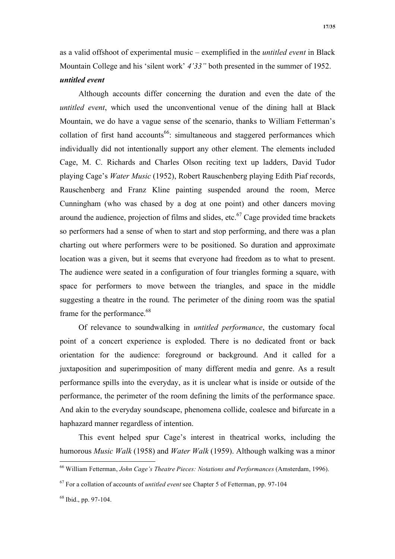as a valid offshoot of experimental music – exemplified in the *untitled event* in Black Mountain College and his 'silent work' *4'33"* both presented in the summer of 1952. *untitled event*

Although accounts differ concerning the duration and even the date of the *untitled event*, which used the unconventional venue of the dining hall at Black Mountain, we do have a vague sense of the scenario, thanks to William Fetterman's collation of first hand accounts<sup>66</sup>: simultaneous and staggered performances which individually did not intentionally support any other element. The elements included Cage, M. C. Richards and Charles Olson reciting text up ladders, David Tudor playing Cage's *Water Music* (1952), Robert Rauschenberg playing Edith Piaf records, Rauschenberg and Franz Kline painting suspended around the room, Merce Cunningham (who was chased by a dog at one point) and other dancers moving around the audience, projection of films and slides, etc.<sup>67</sup> Cage provided time brackets so performers had a sense of when to start and stop performing, and there was a plan charting out where performers were to be positioned. So duration and approximate location was a given, but it seems that everyone had freedom as to what to present. The audience were seated in a configuration of four triangles forming a square, with space for performers to move between the triangles, and space in the middle suggesting a theatre in the round. The perimeter of the dining room was the spatial frame for the performance.<sup>68</sup>

Of relevance to soundwalking in *untitled performance*, the customary focal point of a concert experience is exploded. There is no dedicated front or back orientation for the audience: foreground or background. And it called for a juxtaposition and superimposition of many different media and genre. As a result performance spills into the everyday, as it is unclear what is inside or outside of the performance, the perimeter of the room defining the limits of the performance space. And akin to the everyday soundscape, phenomena collide, coalesce and bifurcate in a haphazard manner regardless of intention.

This event helped spur Cage's interest in theatrical works, including the humorous *Music Walk* (1958) and *Water Walk* (1959). Although walking was a minor

 <sup>66</sup> William Fetterman, *John Cage's Theatre Pieces: Notations and Performances* (Amsterdam, 1996).

<sup>67</sup> For a collation of accounts of *untitled event* see Chapter 5 of Fetterman, pp. 97-104

 $68$  Ibid., pp. 97-104.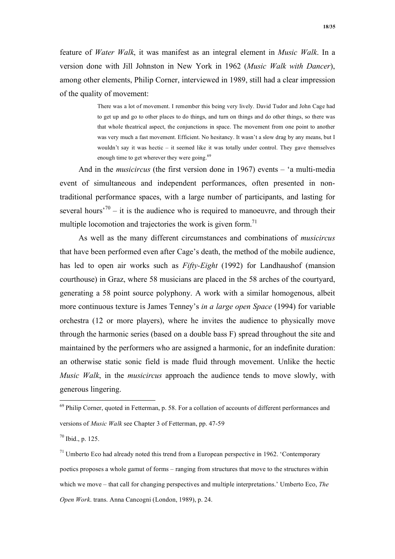feature of *Water Walk*, it was manifest as an integral element in *Music Walk*. In a version done with Jill Johnston in New York in 1962 (*Music Walk with Dancer*), among other elements, Philip Corner, interviewed in 1989, still had a clear impression of the quality of movement:

> There was a lot of movement. I remember this being very lively. David Tudor and John Cage had to get up and go to other places to do things, and turn on things and do other things, so there was that whole theatrical aspect, the conjunctions in space. The movement from one point to another was very much a fast movement. Efficient. No hesitancy. It wasn't a slow drag by any means, but I wouldn't say it was hectic – it seemed like it was totally under control. They gave themselves enough time to get wherever they were going.<sup>69</sup>

And in the *musicircus* (the first version done in 1967) events – 'a multi-media event of simultaneous and independent performances, often presented in nontraditional performance spaces, with a large number of participants, and lasting for several hours<sup> $70$ </sup> – it is the audience who is required to manoeuvre, and through their multiple locomotion and trajectories the work is given form.<sup>71</sup>

As well as the many different circumstances and combinations of *musicircus* that have been performed even after Cage's death, the method of the mobile audience, has led to open air works such as *Fifty-Eight* (1992) for Landhaushof (mansion courthouse) in Graz, where 58 musicians are placed in the 58 arches of the courtyard, generating a 58 point source polyphony. A work with a similar homogenous, albeit more continuous texture is James Tenney's *in a large open Space* (1994) for variable orchestra (12 or more players), where he invites the audience to physically move through the harmonic series (based on a double bass F) spread throughout the site and maintained by the performers who are assigned a harmonic, for an indefinite duration: an otherwise static sonic field is made fluid through movement. Unlike the hectic *Music Walk*, in the *musicircus* approach the audience tends to move slowly, with generous lingering.

<sup>&</sup>lt;sup>69</sup> Philip Corner, quoted in Fetterman, p. 58. For a collation of accounts of different performances and versions of *Music Walk* see Chapter 3 of Fetterman, pp. 47-59

 $70$  Ibid., p. 125.

 $71$  Umberto Eco had already noted this trend from a European perspective in 1962. 'Contemporary poetics proposes a whole gamut of forms – ranging from structures that move to the structures within which we move – that call for changing perspectives and multiple interpretations.' Umberto Eco, *The Open Work*. trans. Anna Cancogni (London, 1989), p. 24.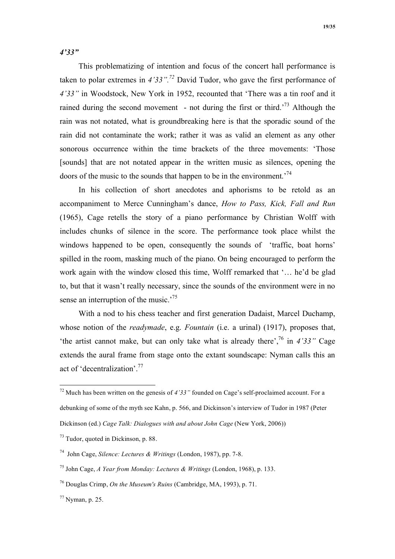*4'33"*

This problematizing of intention and focus of the concert hall performance is taken to polar extremes in *4'33".72* David Tudor, who gave the first performance of *4'33"* in Woodstock, New York in 1952, recounted that 'There was a tin roof and it rained during the second movement - not during the first or third.'73 Although the rain was not notated, what is groundbreaking here is that the sporadic sound of the rain did not contaminate the work; rather it was as valid an element as any other sonorous occurrence within the time brackets of the three movements: 'Those [sounds] that are not notated appear in the written music as silences, opening the doors of the music to the sounds that happen to be in the environment.'74

In his collection of short anecdotes and aphorisms to be retold as an accompaniment to Merce Cunningham's dance, *How to Pass, Kick, Fall and Run* (1965), Cage retells the story of a piano performance by Christian Wolff with includes chunks of silence in the score. The performance took place whilst the windows happened to be open, consequently the sounds of 'traffic, boat horns' spilled in the room, masking much of the piano. On being encouraged to perform the work again with the window closed this time, Wolff remarked that '… he'd be glad to, but that it wasn't really necessary, since the sounds of the environment were in no sense an interruption of the music.<sup>75</sup>

With a nod to his chess teacher and first generation Dadaist, Marcel Duchamp, whose notion of the *readymade*, e.g. *Fountain* (i.e. a urinal) (1917), proposes that, 'the artist cannot make, but can only take what is already there',76 in *4'33"* Cage extends the aural frame from stage onto the extant soundscape: Nyman calls this an act of 'decentralization'.77

 <sup>72</sup> Much has been written on the genesis of *4'33"* founded on Cage's self-proclaimed account. For a debunking of some of the myth see Kahn, p. 566, and Dickinson's interview of Tudor in 1987 (Peter Dickinson (ed.) *Cage Talk: Dialogues with and about John Cage* (New York, 2006))

<sup>73</sup> Tudor, quoted in Dickinson, p. 88.

<sup>74</sup> John Cage, *Silence: Lectures & Writings* (London, 1987), pp. 7-8.

<sup>75</sup> John Cage, *A Year from Monday: Lectures & Writings* (London, 1968), p. 133.

<sup>76</sup> Douglas Crimp, *On the Museum's Ruins* (Cambridge, MA, 1993), p. 71.

 $^{77}$  Nyman, p. 25.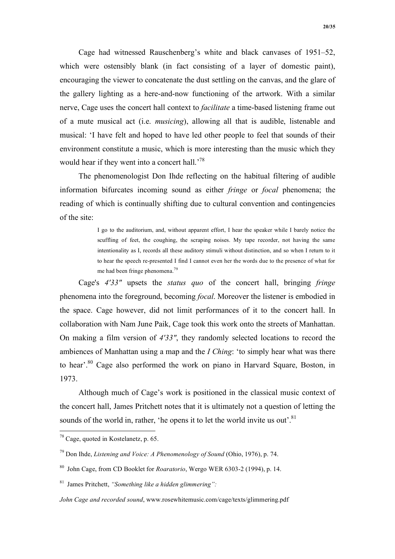Cage had witnessed Rauschenberg's white and black canvases of 1951–52, which were ostensibly blank (in fact consisting of a layer of domestic paint), encouraging the viewer to concatenate the dust settling on the canvas, and the glare of the gallery lighting as a here-and-now functioning of the artwork. With a similar nerve, Cage uses the concert hall context to *facilitate* a time-based listening frame out of a mute musical act (i.e. *musicing*), allowing all that is audible, listenable and musical: 'I have felt and hoped to have led other people to feel that sounds of their environment constitute a music, which is more interesting than the music which they would hear if they went into a concert hall.<sup>'78</sup>

The phenomenologist Don Ihde reflecting on the habitual filtering of audible information bifurcates incoming sound as either *fringe* or *focal* phenomena; the reading of which is continually shifting due to cultural convention and contingencies of the site:

> I go to the auditorium, and, without apparent effort, I hear the speaker while I barely notice the scuffling of feet, the coughing, the scraping noises. My tape recorder, not having the same intentionality as I, records all these auditory stimuli without distinction, and so when I return to it to hear the speech re-presented I find I cannot even her the words due to the presence of what for me had been fringe phenomena.<sup>79</sup>

Cage's *4'33"* upsets the *status quo* of the concert hall, bringing *fringe* phenomena into the foreground, becoming *focal*. Moreover the listener is embodied in the space. Cage however, did not limit performances of it to the concert hall. In collaboration with Nam June Paik, Cage took this work onto the streets of Manhattan. On making a film version of *4'33"*, they randomly selected locations to record the ambiences of Manhattan using a map and the *I Ching*: 'to simply hear what was there to hear'.<sup>80</sup> Cage also performed the work on piano in Harvard Square, Boston, in 1973.

Although much of Cage's work is positioned in the classical music context of the concert hall, James Pritchett notes that it is ultimately not a question of letting the sounds of the world in, rather, 'he opens it to let the world invite us out'. $81$ 

 <sup>78</sup> Cage, quoted in Kostelanetz, p. 65.

<sup>79</sup> Don Ihde, *Listening and Voice: A Phenomenology of Sound* (Ohio, 1976), p. 74.

<sup>80</sup> John Cage, from CD Booklet for *Roaratorio*, Wergo WER 6303-2 (1994), p. 14.

<sup>81</sup> James Pritchett, *"Something like a hidden glimmering":*

*John Cage and recorded sound*, www.rosewhitemusic.com/cage/texts/glimmering.pdf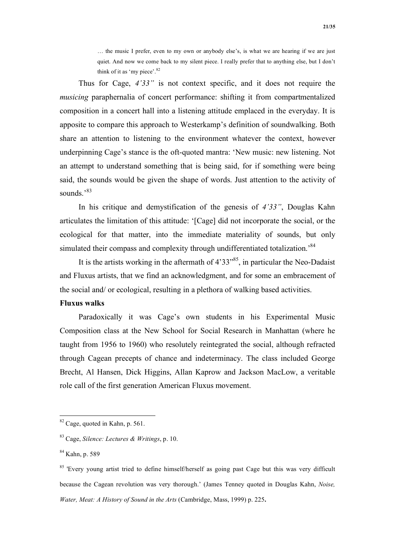… the music I prefer, even to my own or anybody else's, is what we are hearing if we are just quiet. And now we come back to my silent piece. I really prefer that to anything else, but I don't think of it as 'my piece'.<sup>82</sup>

Thus for Cage, *4'33"* is not context specific, and it does not require the *musicing* paraphernalia of concert performance: shifting it from compartmentalized composition in a concert hall into a listening attitude emplaced in the everyday. It is apposite to compare this approach to Westerkamp's definition of soundwalking. Both share an attention to listening to the environment whatever the context, however underpinning Cage's stance is the oft-quoted mantra: 'New music: new listening. Not an attempt to understand something that is being said, for if something were being said, the sounds would be given the shape of words. Just attention to the activity of sounds<sup>383</sup>

In his critique and demystification of the genesis of *4'33"*, Douglas Kahn articulates the limitation of this attitude: '[Cage] did not incorporate the social, or the ecological for that matter, into the immediate materiality of sounds, but only simulated their compass and complexity through undifferentiated totalization.<sup>84</sup>

It is the artists working in the aftermath of  $4'33''^{85}$ , in particular the Neo-Dadaist and Fluxus artists, that we find an acknowledgment, and for some an embracement of the social and/ or ecological, resulting in a plethora of walking based activities.

# **Fluxus walks**

Paradoxically it was Cage's own students in his Experimental Music Composition class at the New School for Social Research in Manhattan (where he taught from 1956 to 1960) who resolutely reintegrated the social, although refracted through Cagean precepts of chance and indeterminacy. The class included George Brecht, Al Hansen, Dick Higgins, Allan Kaprow and Jackson MacLow, a veritable role call of the first generation American Fluxus movement.

 <sup>82</sup> Cage, quoted in Kahn, p. 561.

<sup>83</sup> Cage, *Silence: Lectures & Writings*, p. 10.

<sup>84</sup> Kahn, p. 589

<sup>&</sup>lt;sup>85</sup> 'Every young artist tried to define himself/herself as going past Cage but this was very difficult because the Cagean revolution was very thorough.' (James Tenney quoted in Douglas Kahn, *Noise, Water, Meat: A History of Sound in the Arts* (Cambridge, Mass, 1999) p. 225**.**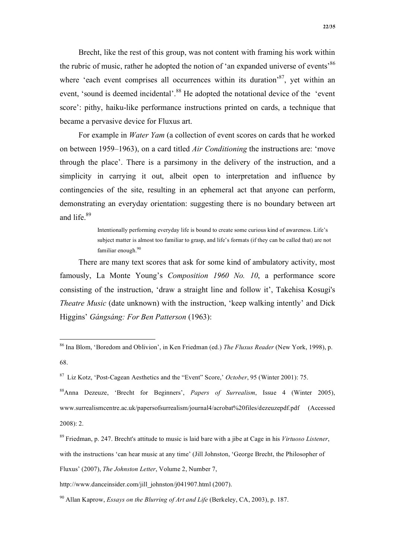Brecht, like the rest of this group, was not content with framing his work within the rubric of music, rather he adopted the notion of 'an expanded universe of events'<sup>86</sup> where 'each event comprises all occurrences within its duration'<sup>87</sup>, yet within an event, 'sound is deemed incidental'.<sup>88</sup> He adopted the notational device of the 'event score': pithy, haiku-like performance instructions printed on cards, a technique that became a pervasive device for Fluxus art.

For example in *Water Yam* (a collection of event scores on cards that he worked on between 1959–1963), on a card titled *Air Conditioning* the instructions are: 'move through the place'. There is a parsimony in the delivery of the instruction, and a simplicity in carrying it out, albeit open to interpretation and influence by contingencies of the site, resulting in an ephemeral act that anyone can perform, demonstrating an everyday orientation: suggesting there is no boundary between art and life.<sup>89</sup>

> Intentionally performing everyday life is bound to create some curious kind of awareness. Life's subject matter is almost too familiar to grasp, and life's formats (if they can be called that) are not familiar enough.<sup>90</sup>

There are many text scores that ask for some kind of ambulatory activity, most famously, La Monte Young's *Composition 1960 No. 10*, a performance score consisting of the instruction, 'draw a straight line and follow it', Takehisa Kosugi's *Theatre Music* (date unknown) with the instruction, 'keep walking intently' and Dick Higgins' *Gángsáng: For Ben Patterson* (1963):

88Anna Dezeuze, 'Brecht for Beginners', *Papers of Surrealism*, Issue 4 (Winter 2005), www.surrealismcentre.ac.uk/papersofsurrealism/journal4/acrobat%20files/dezeuzepdf.pdf (Accessed 2008): 2.

 <sup>86</sup> Ina Blom, 'Boredom and Oblivion', in Ken Friedman (ed.) *The Fluxus Reader* (New York, 1998), p. 68.

<sup>87</sup> Liz Kotz, 'Post-Cagean Aesthetics and the "Event" Score,' *October*, 95 (Winter 2001): 75.

<sup>89</sup> Friedman, p. 247. Brecht's attitude to music is laid bare with a jibe at Cage in his *Virtuoso Listener*, with the instructions 'can hear music at any time' (Jill Johnston, 'George Brecht, the Philosopher of Fluxus' (2007), *The Johnston Letter*, Volume 2, Number 7,

http://www.danceinsider.com/jill\_johnston/j041907.html (2007).

<sup>90</sup> Allan Kaprow, *Essays on the Blurring of Art and Life* (Berkeley, CA, 2003), p. 187.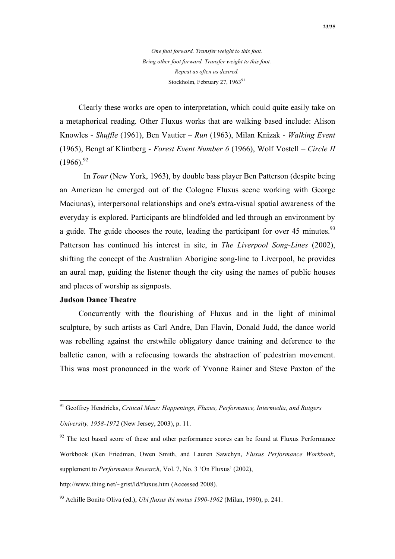*One foot forward. Transfer weight to this foot. Bring other foot forward. Transfer weight to this foot. Repeat as often as desired.*  Stockholm, February 27, 1963<sup>91</sup>

Clearly these works are open to interpretation, which could quite easily take on a metaphorical reading. Other Fluxus works that are walking based include: Alison Knowles - *Shuffle* (1961), Ben Vautier – *Run* (1963), Milan Knizak - *Walking Event* (1965), Bengt af Klintberg - *Forest Event Number 6* (1966), Wolf Vostell – *Circle II*  $(1966)^{92}$ 

In *Tour* (New York, 1963), by double bass player Ben Patterson (despite being an American he emerged out of the Cologne Fluxus scene working with George Maciunas), interpersonal relationships and one's extra-visual spatial awareness of the everyday is explored. Participants are blindfolded and led through an environment by a guide. The guide chooses the route, leading the participant for over 45 minutes.<sup>93</sup> Patterson has continued his interest in site, in *The Liverpool Song-Lines* (2002), shifting the concept of the Australian Aborigine song-line to Liverpool, he provides an aural map, guiding the listener though the city using the names of public houses and places of worship as signposts.

#### **Judson Dance Theatre**

Concurrently with the flourishing of Fluxus and in the light of minimal sculpture, by such artists as Carl Andre, Dan Flavin, Donald Judd, the dance world was rebelling against the erstwhile obligatory dance training and deference to the balletic canon, with a refocusing towards the abstraction of pedestrian movement. This was most pronounced in the work of Yvonne Rainer and Steve Paxton of the

 <sup>91</sup> Geoffrey Hendricks, *Critical Mass: Happenings, Fluxus, Performance, Intermedia, and Rutgers* 

*University, 1958-1972* (New Jersey, 2003), p. 11.

 $92$  The text based score of these and other performance scores can be found at Fluxus Performance Workbook (Ken Friedman, Owen Smith, and Lauren Sawchyn, *Fluxus Performance Workbook*, supplement to *Performance Research,* Vol. 7, No. 3 'On Fluxus' (2002),

http://www.thing.net/~grist/ld/fluxus.htm (Accessed 2008).

<sup>93</sup> Achille Bonito Oliva (ed.), *Ubi fluxus ibi motus 1990-1962* (Milan, 1990), p. 241.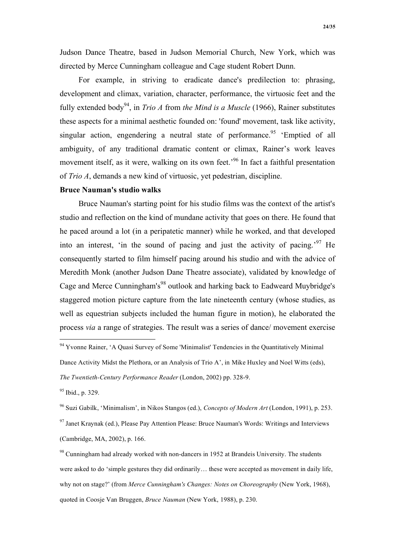For example, in striving to eradicate dance's predilection to: phrasing, development and climax, variation, character, performance, the virtuosic feet and the fully extended body94, in *Trio A* from *the Mind is a Muscle* (1966), Rainer substitutes these aspects for a minimal aesthetic founded on: 'found' movement, task like activity, singular action, engendering a neutral state of performance.<sup>95</sup> 'Emptied of all ambiguity, of any traditional dramatic content or climax, Rainer's work leaves movement itself, as it were, walking on its own feet.<sup>96</sup> In fact a faithful presentation of *Trio A*, demands a new kind of virtuosic, yet pedestrian, discipline.

### **Bruce Nauman's studio walks**

Bruce Nauman's starting point for his studio films was the context of the artist's studio and reflection on the kind of mundane activity that goes on there. He found that he paced around a lot (in a peripatetic manner) while he worked, and that developed into an interest, 'in the sound of pacing and just the activity of pacing.'97 He consequently started to film himself pacing around his studio and with the advice of Meredith Monk (another Judson Dane Theatre associate), validated by knowledge of Cage and Merce Cunningham's<sup>98</sup> outlook and harking back to Eadweard Muybridge's staggered motion picture capture from the late nineteenth century (whose studies, as well as equestrian subjects included the human figure in motion), he elaborated the process *via* a range of strategies. The result was a series of dance/ movement exercise

 <sup>94</sup> Yvonne Rainer, 'A Quasi Survey of Some 'Minimalist' Tendencies in the Quantitatively Minimal

Dance Activity Midst the Plethora, or an Analysis of Trio A', in Mike Huxley and Noel Witts (eds),

*The Twentieth-Century Performance Reader* (London, 2002) pp. 328-9.

<sup>95</sup> Ibid., p. 329.

<sup>96</sup> Suzi Gabilk, 'Minimalism', in Nikos Stangos (ed.), *Concepts of Modern Art* (London, 1991), p. 253.

 $97$  Janet Kraynak (ed.), Please Pay Attention Please: Bruce Nauman's Words: Writings and Interviews (Cambridge, MA, 2002), p. 166.

 $98$  Cunningham had already worked with non-dancers in 1952 at Brandeis University. The students were asked to do 'simple gestures they did ordinarily… these were accepted as movement in daily life, why not on stage?' (from *Merce Cunningham's Changes: Notes on Choreography* (New York, 1968), quoted in Coosje Van Bruggen, *Bruce Nauman* (New York, 1988), p. 230.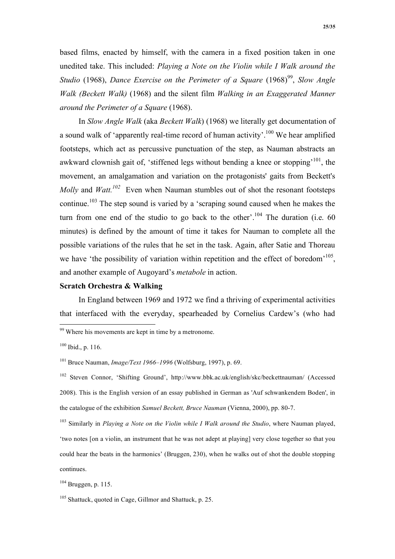based films, enacted by himself, with the camera in a fixed position taken in one unedited take. This included: *Playing a Note on the Violin while I Walk around the Studio* (1968), *Dance Exercise on the Perimeter of a Square* (1968)<sup>99</sup>, *Slow Angle Walk (Beckett Walk)* (1968) and the silent film *Walking in an Exaggerated Manner around the Perimeter of a Square* (1968).

In *Slow Angle Walk* (aka *Beckett Walk*) (1968) we literally get documentation of a sound walk of 'apparently real-time record of human activity'.<sup>100</sup> We hear amplified footsteps, which act as percussive punctuation of the step, as Nauman abstracts an awkward clownish gait of, 'stiffened legs without bending a knee or stopping'101, the movement, an amalgamation and variation on the protagonists' gaits from Beckett's *Molly* and *Watt.102* Even when Nauman stumbles out of shot the resonant footsteps continue.103 The step sound is varied by a 'scraping sound caused when he makes the turn from one end of the studio to go back to the other'.<sup>104</sup> The duration (i.e. 60) minutes) is defined by the amount of time it takes for Nauman to complete all the possible variations of the rules that he set in the task. Again, after Satie and Thoreau we have 'the possibility of variation within repetition and the effect of boredom<sup>'105</sup>, and another example of Augoyard's *metabole* in action.

### **Scratch Orchestra & Walking**

In England between 1969 and 1972 we find a thriving of experimental activities that interfaced with the everyday, spearheaded by Cornelius Cardew's (who had

 $99$  Where his movements are kept in time by a metronome.

 $100$  Ibid., p. 116.

<sup>101</sup> Bruce Nauman, *Image/Text 1966–1996* (Wolfsburg, 1997), p. 69.

<sup>102</sup> Steven Connor, 'Shifting Ground', http://www.bbk.ac.uk/english/skc/beckettnauman/ (Accessed 2008). This is the English version of an essay published in German as 'Auf schwankendem Boden', in the catalogue of the exhibition *Samuel Beckett, Bruce Nauman* (Vienna, 2000), pp. 80-7.

<sup>&</sup>lt;sup>103</sup> Similarly in *Playing a Note on the Violin while I Walk around the Studio*, where Nauman played, 'two notes [on a violin, an instrument that he was not adept at playing] very close together so that you could hear the beats in the harmonics' (Bruggen, 230), when he walks out of shot the double stopping continues.

 $104$  Bruggen, p. 115.

<sup>&</sup>lt;sup>105</sup> Shattuck, quoted in Cage, Gillmor and Shattuck, p. 25.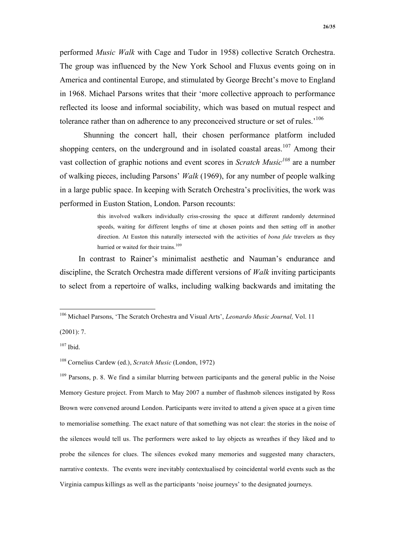performed *Music Walk* with Cage and Tudor in 1958) collective Scratch Orchestra. The group was influenced by the New York School and Fluxus events going on in America and continental Europe, and stimulated by George Brecht's move to England in 1968. Michael Parsons writes that their 'more collective approach to performance reflected its loose and informal sociability, which was based on mutual respect and tolerance rather than on adherence to any preconceived structure or set of rules.<sup>106</sup>

Shunning the concert hall, their chosen performance platform included shopping centers, on the underground and in isolated coastal areas.<sup>107</sup> Among their vast collection of graphic notions and event scores in *Scratch Music<sup>108</sup>* are a number of walking pieces, including Parsons' *Walk* (1969), for any number of people walking in a large public space. In keeping with Scratch Orchestra's proclivities, the work was performed in Euston Station, London. Parson recounts:

> this involved walkers individually criss-crossing the space at different randomly determined speeds, waiting for different lengths of time at chosen points and then setting off in another direction. At Euston this naturally intersected with the activities of *bona fide* travelers as they hurried or waited for their trains.<sup>109</sup>

In contrast to Rainer's minimalist aesthetic and Nauman's endurance and discipline, the Scratch Orchestra made different versions of *Walk* inviting participants to select from a repertoire of walks, including walking backwards and imitating the

(2001): 7.

 $107$  Ibid.

<sup>109</sup> Parsons, p. 8. We find a similar blurring between participants and the general public in the Noise Memory Gesture project. From March to May 2007 a number of flashmob silences instigated by Ross Brown were convened around London. Participants were invited to attend a given space at a given time to memorialise something. The exact nature of that something was not clear: the stories in the noise of the silences would tell us. The performers were asked to lay objects as wreathes if they liked and to probe the silences for clues. The silences evoked many memories and suggested many characters, narrative contexts. The events were inevitably contextualised by coincidental world events such as the Virginia campus killings as well as the participants 'noise journeys' to the designated journeys.

 <sup>106</sup> Michael Parsons, 'The Scratch Orchestra and Visual Arts', *Leonardo Music Journal,* Vol. 11

<sup>108</sup> Cornelius Cardew (ed.), *Scratch Music* (London, 1972)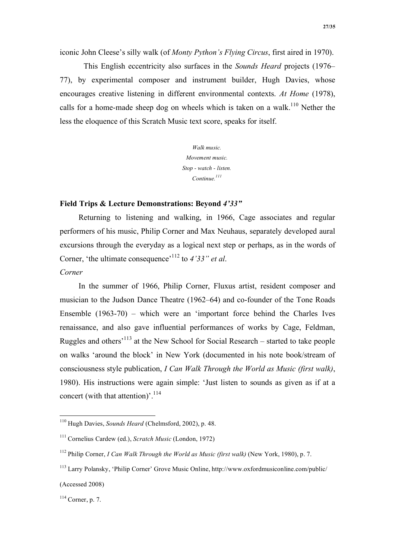iconic John Cleese's silly walk (of *Monty Python's Flying Circus*, first aired in 1970).

This English eccentricity also surfaces in the *Sounds Heard* projects (1976– 77), by experimental composer and instrument builder, Hugh Davies, whose encourages creative listening in different environmental contexts. *At Home* (1978), calls for a home-made sheep dog on wheels which is taken on a walk.<sup>110</sup> Nether the less the eloquence of this Scratch Music text score, speaks for itself.

> *Walk music. Movement music. Stop - watch - listen. Continue.<sup>111</sup>*

## **Field Trips & Lecture Demonstrations: Beyond** *4'33"*

Returning to listening and walking, in 1966, Cage associates and regular performers of his music, Philip Corner and Max Neuhaus, separately developed aural excursions through the everyday as a logical next step or perhaps, as in the words of Corner, 'the ultimate consequence'112 to *4'33" et al*. *Corner* 

In the summer of 1966, Philip Corner, Fluxus artist, resident composer and musician to the Judson Dance Theatre (1962–64) and co-founder of the Tone Roads Ensemble (1963-70) – which were an 'important force behind the Charles Ives renaissance, and also gave influential performances of works by Cage, Feldman, Ruggles and others'113 at the New School for Social Research – started to take people on walks 'around the block' in New York (documented in his note book/stream of consciousness style publication, *I Can Walk Through the World as Music (first walk)*, 1980). His instructions were again simple: 'Just listen to sounds as given as if at a concert (with that attention)'. $^{114}$ 

 <sup>110</sup> Hugh Davies, *Sounds Heard* (Chelmsford, 2002), p. 48.

<sup>111</sup> Cornelius Cardew (ed.), *Scratch Music* (London, 1972)

<sup>112</sup> Philip Corner, *I Can Walk Through the World as Music (first walk)* (New York, 1980), p. 7.

<sup>113</sup> Larry Polansky, 'Philip Corner' Grove Music Online, http://www.oxfordmusiconline.com/public/ (Accessed 2008)

 $114$  Corner, p. 7.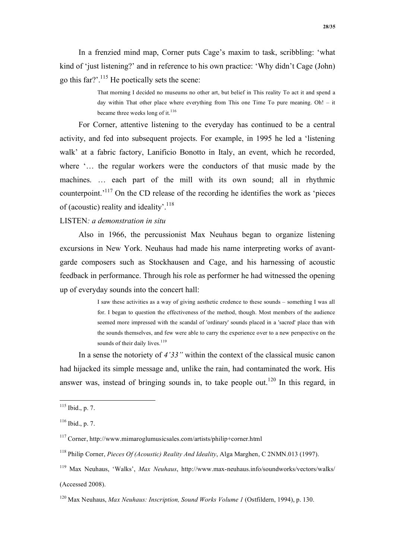In a frenzied mind map, Corner puts Cage's maxim to task, scribbling: 'what kind of 'just listening?' and in reference to his own practice: 'Why didn't Cage (John) go this far?'.115 He poetically sets the scene:

> That morning I decided no museums no other art, but belief in This reality To act it and spend a day within That other place where everything from This one Time To pure meaning. Oh! – it became three weeks long of it.<sup>116</sup>

For Corner, attentive listening to the everyday has continued to be a central activity, and fed into subsequent projects. For example, in 1995 he led a 'listening walk' at a fabric factory, Lanificio Bonotto in Italy, an event, which he recorded, where '... the regular workers were the conductors of that music made by the machines. … each part of the mill with its own sound; all in rhythmic counterpoint.'117 On the CD release of the recording he identifies the work as 'pieces of (acoustic) reality and ideality'.118

## LISTEN*: a demonstration in situ*

Also in 1966, the percussionist Max Neuhaus began to organize listening excursions in New York. Neuhaus had made his name interpreting works of avantgarde composers such as Stockhausen and Cage, and his harnessing of acoustic feedback in performance. Through his role as performer he had witnessed the opening up of everyday sounds into the concert hall:

> I saw these activities as a way of giving aesthetic credence to these sounds – something I was all for. I began to question the effectiveness of the method, though. Most members of the audience seemed more impressed with the scandal of 'ordinary' sounds placed in a 'sacred' place than with the sounds themselves, and few were able to carry the experience over to a new perspective on the sounds of their daily lives.<sup>119</sup>

In a sense the notoriety of *4'33"* within the context of the classical music canon had hijacked its simple message and, unlike the rain, had contaminated the work. His answer was, instead of bringing sounds in, to take people out.<sup>120</sup> In this regard, in

 $115$  Ibid., p. 7.

 $116$  Ibid., p. 7.

<sup>117</sup> Corner, http://www.mimaroglumusicsales.com/artists/philip+corner.html

<sup>118</sup> Philip Corner, *Pieces Of (Acoustic) Reality And Ideality*, Alga Marghen, C 2NMN.013 (1997).

<sup>119</sup> Max Neuhaus, 'Walks', *Max Neuhaus*, http://www.max-neuhaus.info/soundworks/vectors/walks/ (Accessed 2008).

<sup>120</sup> Max Neuhaus, *Max Neuhaus: Inscription, Sound Works Volume 1* (Ostfildern, 1994), p. 130.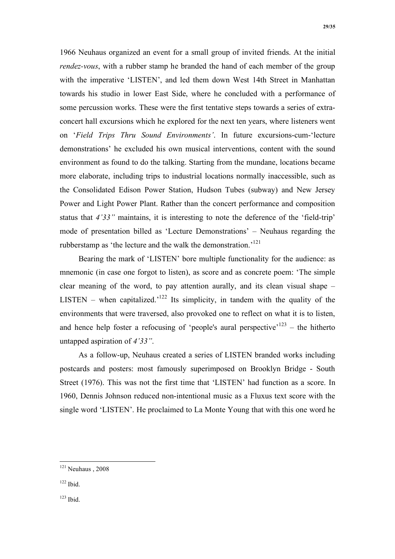1966 Neuhaus organized an event for a small group of invited friends. At the initial *rendez-vous*, with a rubber stamp he branded the hand of each member of the group with the imperative 'LISTEN', and led them down West 14th Street in Manhattan towards his studio in lower East Side, where he concluded with a performance of some percussion works. These were the first tentative steps towards a series of extraconcert hall excursions which he explored for the next ten years, where listeners went on '*Field Trips Thru Sound Environments'*. In future excursions-cum-'lecture demonstrations' he excluded his own musical interventions, content with the sound environment as found to do the talking. Starting from the mundane, locations became more elaborate, including trips to industrial locations normally inaccessible, such as the Consolidated Edison Power Station, Hudson Tubes (subway) and New Jersey Power and Light Power Plant. Rather than the concert performance and composition status that *4'33"* maintains, it is interesting to note the deference of the 'field-trip' mode of presentation billed as 'Lecture Demonstrations' – Neuhaus regarding the rubberstamp as 'the lecture and the walk the demonstration.<sup>121</sup>

Bearing the mark of 'LISTEN' bore multiple functionality for the audience: as mnemonic (in case one forgot to listen), as score and as concrete poem: 'The simple clear meaning of the word, to pay attention aurally, and its clean visual shape – LISTEN – when capitalized.<sup>122</sup> Its simplicity, in tandem with the quality of the environments that were traversed, also provoked one to reflect on what it is to listen, and hence help foster a refocusing of 'people's aural perspective'<sup>123</sup> – the hitherto untapped aspiration of *4'33"*.

As a follow-up, Neuhaus created a series of LISTEN branded works including postcards and posters: most famously superimposed on Brooklyn Bridge - South Street (1976). This was not the first time that 'LISTEN' had function as a score. In 1960, Dennis Johnson reduced non-intentional music as a Fluxus text score with the single word 'LISTEN'. He proclaimed to La Monte Young that with this one word he

 $123$  Ibid.

 <sup>121</sup> Neuhaus , 2008

<sup>122</sup> Ibid.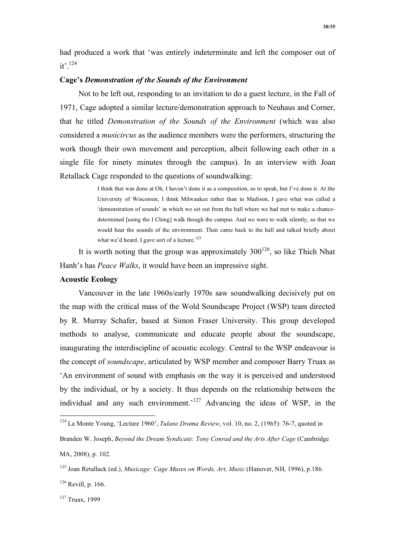had produced a work that 'was entirely indeterminate and left the composer out of it'.124

## **Cage's** *Demonstration of the Sounds of the Environment*

Not to be left out, responding to an invitation to do a guest lecture, in the Fall of 1971, Cage adopted a similar lecture/demonstration approach to Neuhaus and Corner, that he titled *Demonstration of the Sounds of the Environment* (which was also considered a *musicircus* as the audience members were the performers, structuring the work though their own movement and perception, albeit following each other in a single file for ninety minutes through the campus). In an interview with Joan Retallack Cage responded to the questions of soundwalking:

> I think that was done at Oh, I haven't done it as a composition, so to speak, but I've done it. At the University of Wisconsin, I think Milwaukee rather than in Madison, I gave what was called a 'demonstration of sounds' in which we set out from the hall where we had met to make a chancedetermined [using the I Ching] walk though the campus. And we were to walk silently, so that we would hear the sounds of the environment. Then came back to the hall and talked briefly about what we'd heard. I gave sort of a lecture.<sup>125</sup>

It is worth noting that the group was approximately  $300^{126}$ , so like Thich Nhat Hanh's has *Peace Walks*, it would have been an impressive sight.

## **Acoustic Ecology**

Vancouver in the late 1960s/early 1970s saw soundwalking decisively put on the map with the critical mass of the Wold Soundscape Project (WSP) team directed by R. Murray Schafer, based at Simon Fraser University. This group developed methods to analyse, communicate and educate people about the soundscape, inaugurating the interdiscipline of acoustic ecology. Central to the WSP endeavour is the concept of *soundscape*, articulated by WSP member and composer Barry Truax as 'An environment of sound with emphasis on the way it is perceived and understood by the individual, or by a society. It thus depends on the relationship between the individual and any such environment.<sup>'127</sup> Advancing the ideas of WSP, in the

 <sup>124</sup> La Monte Young, 'Lecture 1960', *Tulane Drama Review*, vol. 10, no. 2, (1965): 76-7, quoted in Branden W. Joseph, *Beyond the Dream Syndicate: Tony Conrad and the Arts After Cage* (Cambridge MA, 2008), p. 102.

<sup>125</sup> Joan Retallack (ed.), *Musicage: Cage Muses on Words, Art, Music* (Hanover, NH, 1996), p.186.

 $126$  Revill, p. 166.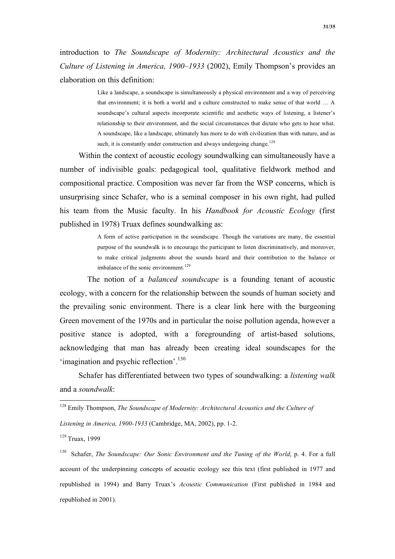introduction to *The Soundscape of Modernity: Architectural Acoustics and the Culture of Listening in America, 1900–1933* (2002), Emily Thompson's provides an elaboration on this definition:

> Like a landscape, a soundscape is simultaneously a physical environment and a way of perceiving that environment; it is both a world and a culture constructed to make sense of that world … A soundscape's cultural aspects incorporate scientific and aesthetic ways of listening, a listener's relationship to their environment, and the social circumstances that dictate who gets to hear what. A soundscape, like a landscape, ultimately has more to do with civilization than with nature, and as such, it is constantly under construction and always undergoing change.<sup>128</sup>

Within the context of acoustic ecology soundwalking can simultaneously have a number of indivisible goals: pedagogical tool, qualitative fieldwork method and compositional practice. Composition was never far from the WSP concerns, which is unsurprising since Schafer, who is a seminal composer in his own right, had pulled his team from the Music faculty. In his *Handbook for Acoustic Ecology* (first published in 1978) Truax defines soundwalking as:

> A form of active participation in the soundscape. Though the variations are many, the essential purpose of the soundwalk is to encourage the participant to listen discriminatively, and moreover, to make critical judgments about the sounds heard and their contribution to the balance or imbalance of the sonic environment.<sup>129</sup>

 The notion of a *balanced soundscape* is a founding tenant of acoustic ecology, with a concern for the relationship between the sounds of human society and the prevailing sonic environment. There is a clear link here with the burgeoning Green movement of the 1970s and in particular the noise pollution agenda, however a positive stance is adopted, with a foregrounding of artist-based solutions, acknowledging that man has already been creating ideal soundscapes for the 'imagination and psychic reflection'.<sup>130</sup>

Schafer has differentiated between two types of soundwalking: a *listening walk* and a *soundwalk*:

*Listening in America, 1900-1933* (Cambridge, MA, 2002), pp. 1-2.

<sup>129</sup> Truax, 1999

 <sup>128</sup> Emily Thompson, *The Soundscape of Modernity: Architectural Acoustics and the Culture of* 

<sup>130</sup> Schafer, *The Soundscape: Our Sonic Environment and the Tuning of the World*, p. 4. For a full account of the underpinning concepts of acoustic ecology see this text (first published in 1977 and republished in 1994) and Barry Truax's *Acoustic Communication* (First published in 1984 and republished in 2001).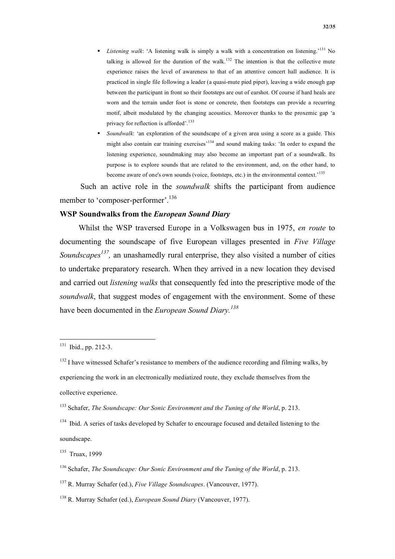*Listening walk*: 'A listening walk is simply a walk with a concentration on listening.'131 No talking is allowed for the duration of the walk.<sup>132</sup> The intention is that the collective mute experience raises the level of awareness to that of an attentive concert hall audience. It is practiced in single file following a leader (a quasi-mute pied piper), leaving a wide enough gap between the participant in front so their footsteps are out of earshot. Of course if hard heals are worn and the terrain under foot is stone or concrete, then footsteps can provide a recurring motif, albeit modulated by the changing acoustics. Moreover thanks to the proxemic gap 'a privacy for reflection is afforded'.<sup>133</sup>

 *Soundwalk*: 'an exploration of the soundscape of a given area using a score as a guide. This might also contain ear training exercises<sup>134</sup> and sound making tasks: 'In order to expand the listening experience, soundmaking may also become an important part of a soundwalk. Its purpose is to explore sounds that are related to the environment, and, on the other hand, to become aware of one's own sounds (voice, footsteps, etc.) in the environmental context.<sup>135</sup>

 Such an active role in the *soundwalk* shifts the participant from audience member to 'composer-performer'.<sup>136</sup>

### **WSP Soundwalks from the** *European Sound Diary*

Whilst the WSP traversed Europe in a Volkswagen bus in 1975, *en route* to documenting the soundscape of five European villages presented in *Five Village Soundscapes*<sup>137</sup>, an unashamedly rural enterprise, they also visited a number of cities to undertake preparatory research. When they arrived in a new location they devised and carried out *listening walks* that consequently fed into the prescriptive mode of the *soundwalk*, that suggest modes of engagement with the environment. Some of these have been documented in the *European Sound Diary.<sup>138</sup>*

 <sup>131</sup> Ibid., pp. 212-3.

 $132$  I have witnessed Schafer's resistance to members of the audience recording and filming walks, by experiencing the work in an electronically mediatized route, they exclude themselves from the collective experience.

<sup>133</sup> Schafer, *The Soundscape: Our Sonic Environment and the Tuning of the World*, p. 213.

<sup>&</sup>lt;sup>134</sup> Ibid. A series of tasks developed by Schafer to encourage focused and detailed listening to the soundscape.

<sup>135</sup> Truax, 1999

<sup>136</sup> Schafer, *The Soundscape: Our Sonic Environment and the Tuning of the World*, p. 213.

<sup>137</sup> R. Murray Schafer (ed.), *Five Village Soundscapes*. (Vancouver, 1977).

<sup>138</sup> R. Murray Schafer (ed.), *European Sound Diary* (Vancouver, 1977).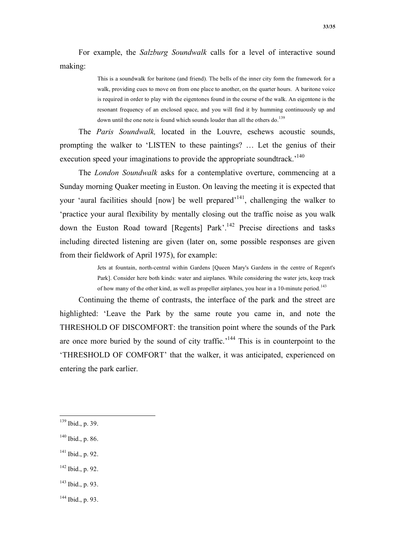For example, the *Salzburg Soundwalk* calls for a level of interactive sound making:

> This is a soundwalk for baritone (and friend). The bells of the inner city form the framework for a walk, providing cues to move on from one place to another, on the quarter hours. A baritone voice is required in order to play with the eigentones found in the course of the walk. An eigentone is the resonant frequency of an enclosed space, and you will find it by humming continuously up and down until the one note is found which sounds louder than all the others do.<sup>139</sup>

The *Paris Soundwalk,* located in the Louvre, eschews acoustic sounds, prompting the walker to 'LISTEN to these paintings? … Let the genius of their execution speed your imaginations to provide the appropriate soundtrack.<sup>140</sup>

The *London Soundwalk* asks for a contemplative overture, commencing at a Sunday morning Quaker meeting in Euston. On leaving the meeting it is expected that your 'aural facilities should  $[now]$  be well prepared<sup> $141$ </sup>, challenging the walker to 'practice your aural flexibility by mentally closing out the traffic noise as you walk down the Euston Road toward [Regents] Park'.<sup>142</sup> Precise directions and tasks including directed listening are given (later on, some possible responses are given from their fieldwork of April 1975), for example:

> Jets at fountain, north-central within Gardens [Queen Mary's Gardens in the centre of Regent's Park]. Consider here both kinds: water and airplanes. While considering the water jets, keep track of how many of the other kind, as well as propeller airplanes, you hear in a 10-minute period.<sup>143</sup>

Continuing the theme of contrasts, the interface of the park and the street are highlighted: 'Leave the Park by the same route you came in, and note the THRESHOLD OF DISCOMFORT: the transition point where the sounds of the Park are once more buried by the sound of city traffic.<sup> $144$ </sup> This is in counterpoint to the 'THRESHOLD OF COMFORT' that the walker, it was anticipated, experienced on entering the park earlier.

- 141 Ibid., p. 92.
- $142$  Ibid., p. 92.
- 143 Ibid., p. 93.
- $144$  Ibid., p. 93.

 <sup>139</sup> Ibid., p. 39.

 $140$  Ibid., p. 86.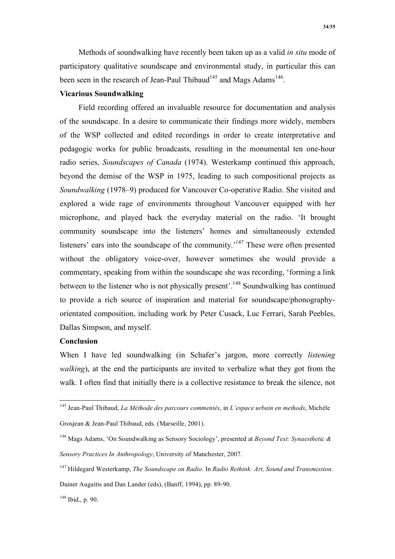Methods of soundwalking have recently been taken up as a valid *in situ* mode of participatory qualitative soundscape and environmental study, in particular this can been seen in the research of Jean-Paul Thibaud<sup>145</sup> and Mags Adams<sup>146</sup>.

# **Vicarious Soundwalking**

Field recording offered an invaluable resource for documentation and analysis of the soundscape. In a desire to communicate their findings more widely, members of the WSP collected and edited recordings in order to create interpretative and pedagogic works for public broadcasts, resulting in the monumental ten one-hour radio series, *Soundscapes of Canada* (1974). Westerkamp continued this approach, beyond the demise of the WSP in 1975, leading to such compositional projects as *Soundwalking* (1978–9) produced for Vancouver Co-operative Radio. She visited and explored a wide rage of environments throughout Vancouver equipped with her microphone, and played back the everyday material on the radio. 'It brought community soundscape into the listeners' homes and simultaneously extended listeners' ears into the soundscape of the community.<sup>147</sup> These were often presented without the obligatory voice-over, however sometimes she would provide a commentary, speaking from within the soundscape she was recording, 'forming a link between to the listener who is not physically present'.<sup>148</sup> Soundwalking has continued to provide a rich source of inspiration and material for soundscape/phonographyorientated composition, including work by Peter Cusack, Luc Ferrari, Sarah Peebles, Dallas Simpson, and myself.

### **Conclusion**

When I have led soundwalking (in Schafer's jargon, more correctly *listening walking*), at the end the participants are invited to verbalize what they got from the walk. I often find that initially there is a collective resistance to break the silence, not

 <sup>145</sup> Jean-Paul Thibaud, *La Méthode des parcours commentés*, in *L'espace urbain en methods*, Michèle Grosjean & Jean-Paul Thibaud, eds. (Marseille, 2001).

<sup>146</sup> Mags Adams, 'On Soundwalking as Sensory Sociology', presented at *Beyond Text: Synaesthetic & Sensory Practices In Anthropology*, University of Manchester, 2007.

<sup>147</sup> Hildegard Westerkamp, *The Soundscape on Radio*. In *Radio Rethink: Art, Sound and Transmission*.

Dainer Augaitis and Dan Lander (eds), (Banff, 1994), pp. 89-90.

 $148$  Ibid., p. 90.